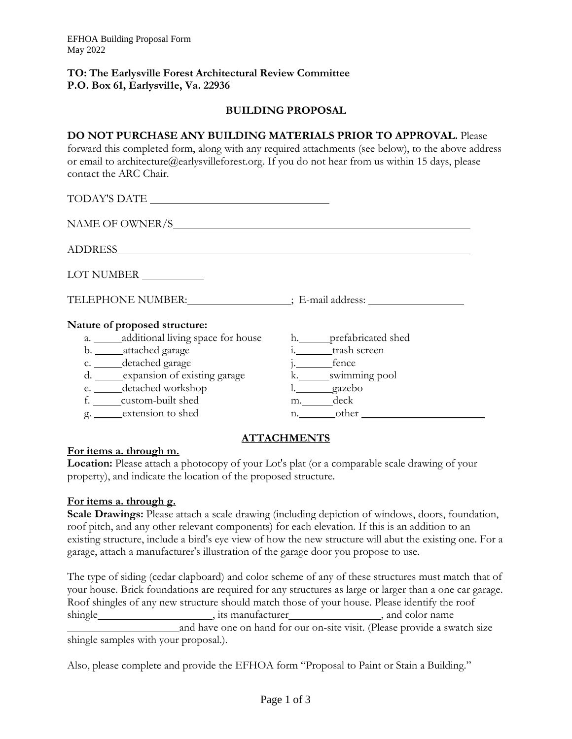## **TO: The Earlysville Forest Architectural Review Committee P.O. Box 61, Earlysvil1e, Va. 22936**

# **BUILDING PROPOSAL**

**DO NOT PURCHASE ANY BUILDING MATERIALS PRIOR TO APPROVAL.** Please forward this completed form, along with any required attachments (see below), to the above address or email to architecture@earlysvilleforest.org. If you do not hear from us within 15 days, please contact the ARC Chair.

TODAY'S DATE NAME OF OWNER/S ADDRESS

LOT NUMBER

TELEPHONE NUMBER: ; E-mail address:

## **Nature of proposed structure:**

- a. additional living space for house h. prefabricated shed
- b. attached garage i. trash screen
- 
- c. detached garage j. fence d. expansion of existing garage
- e. <u>\_\_\_\_\_</u> detached workshop detached workshop details are detailed by a set of the set of the set of the set of the set of the set of the set of the set of the set of the set of the set of the set of the set of the set of
- f. <u>\_\_\_\_\_</u>custom-built shed m. \_\_\_\_\_\_\_\_deck
- g. extension to shed n. other

# **ATTACHMENTS**

## **For items a. through m.**

**Location:** Please attach a photocopy of your Lot's plat (or a comparable scale drawing of your property), and indicate the location of the proposed structure.

#### **For items a. through g.**

**Scale Drawings:** Please attach a scale drawing (including depiction of windows, doors, foundation, roof pitch, and any other relevant components) for each elevation. If this is an addition to an existing structure, include a bird's eye view of how the new structure will abut the existing one. For a garage, attach a manufacturer's illustration of the garage door you propose to use.

The type of siding (cedar clapboard) and color scheme of any of these structures must match that of your house. Brick foundations are required for any structures as large or larger than a one car garage. Roof shingles of any new structure should match those of your house. Please identify the roof shingle himple , its manufacturer , and color name and have one on hand for our on-site visit. (Please provide a swatch size

shingle samples with your proposal.).

Also, please complete and provide the EFHOA form "Proposal to Paint or Stain a Building."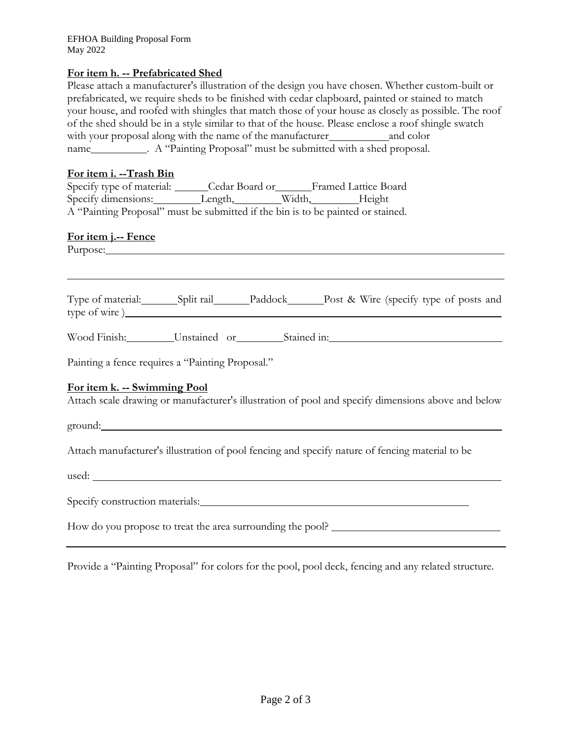EFHOA Building Proposal Form May 2022

## **For item h. -- Prefabricated Shed**

Please attach a manufacturer's illustration of the design you have chosen. Whether custom-built or prefabricated, we require sheds to be finished with cedar clapboard, painted or stained to match your house, and roofed with shingles that match those of your house as closely as possible. The roof of the shed should be in a style similar to that of the house. Please enclose a roof shingle swatch with your proposal along with the name of the manufacturer and color name\_\_\_\_\_\_\_\_\_\_\_. A "Painting Proposal" must be submitted with a shed proposal.

## **For item i. --Trash Bin**

| Specify type of material: | Cedar Board or                                                                  |        | <b>Framed Lattice Board</b> |
|---------------------------|---------------------------------------------------------------------------------|--------|-----------------------------|
| Specify dimensions:       | $L$ ength,                                                                      | Width, | Height                      |
|                           | A "Painting Proposal" must be submitted if the bin is to be painted or stained. |        |                             |

#### **For item j.-- Fence**

Purpose:

Type of material: Split rail Paddock Post & Wire (specify type of posts and type of wire )

Wood Finish: Unstained or Stained in:

Painting a fence requires a "Painting Proposal."

#### **For item k. -- Swimming Pool**

Attach scale drawing or manufacturer's illustration of pool and specify dimensions above and below

ground:

Attach manufacturer's illustration of pool fencing and specify nature of fencing material to be

used:

Specify construction materials: New York Channels and Channels and Channels and Channels and Channels and Channels and Channels and Channels and Channels and Channels and Channels and Channels and Channels and Channels and

How do you propose to treat the area surrounding the pool?

Provide a "Painting Proposal" for colors for the pool, pool deck, fencing and any related structure.